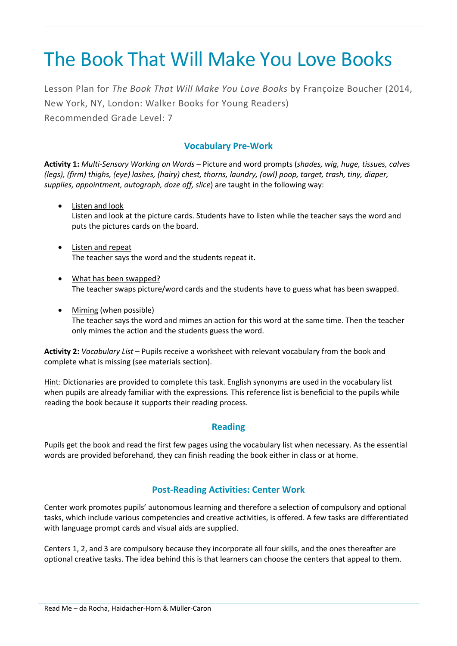# The Book That Will Make You Love Books

Lesson Plan for *The Book That Will Make You Love Books* by Françoize Boucher (2014, New York, NY, London: Walker Books for Young Readers) Recommended Grade Level: 7

# **Vocabulary Pre-Work**

**Activity 1:** *Multi-Sensory Working on Words* – Picture and word prompts (*shades, wig, huge, tissues, calves (legs), (firm) thighs, (eye) lashes, (hairy) chest, thorns, laundry, (owl) poop, target, trash, tiny, diaper, supplies, appointment, autograph, doze off, slice*) are taught in the following way:

- Listen and look Listen and look at the picture cards. Students have to listen while the teacher says the word and puts the pictures cards on the board.
- Listen and repeat The teacher says the word and the students repeat it.
- What has been swapped? The teacher swaps picture/word cards and the students have to guess what has been swapped.
- Miming (when possible) The teacher says the word and mimes an action for this word at the same time. Then the teacher only mimes the action and the students guess the word.

**Activity 2:** *Vocabulary List* – Pupils receive a worksheet with relevant vocabulary from the book and complete what is missing (see materials section).

Hint: Dictionaries are provided to complete this task. English synonyms are used in the vocabulary list when pupils are already familiar with the expressions. This reference list is beneficial to the pupils while reading the book because it supports their reading process.

# **Reading**

Pupils get the book and read the first few pages using the vocabulary list when necessary. As the essential words are provided beforehand, they can finish reading the book either in class or at home.

# **Post-Reading Activities: Center Work**

Center work promotes pupils' autonomous learning and therefore a selection of compulsory and optional tasks, which include various competencies and creative activities, is offered. A few tasks are differentiated with language prompt cards and visual aids are supplied.

Centers 1, 2, and 3 are compulsory because they incorporate all four skills, and the ones thereafter are optional creative tasks. The idea behind this is that learners can choose the centers that appeal to them.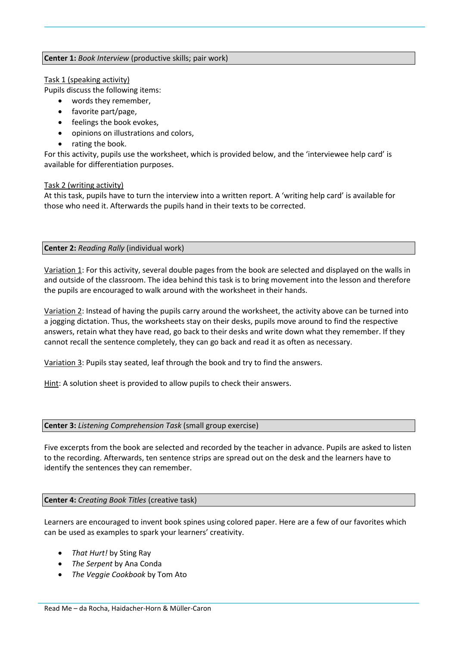#### **Center 1:** *Book Interview* (productive skills; pair work)

#### Task 1 (speaking activity)

Pupils discuss the following items:

- words they remember,
- favorite part/page,
- feelings the book evokes,
- opinions on illustrations and colors,
- rating the book.

For this activity, pupils use the worksheet, which is provided below, and the 'interviewee help card' is available for differentiation purposes.

## Task 2 (writing activity)

At this task, pupils have to turn the interview into a written report. A 'writing help card' is available for those who need it. Afterwards the pupils hand in their texts to be corrected.

## **Center 2:** *Reading Rally* (individual work)

Variation 1: For this activity, several double pages from the book are selected and displayed on the walls in and outside of the classroom. The idea behind this task is to bring movement into the lesson and therefore the pupils are encouraged to walk around with the worksheet in their hands.

Variation 2: Instead of having the pupils carry around the worksheet, the activity above can be turned into a jogging dictation. Thus, the worksheets stay on their desks, pupils move around to find the respective answers, retain what they have read, go back to their desks and write down what they remember. If they cannot recall the sentence completely, they can go back and read it as often as necessary.

Variation 3: Pupils stay seated, leaf through the book and try to find the answers.

Hint: A solution sheet is provided to allow pupils to check their answers.

#### **Center 3:** *Listening Comprehension Task* (small group exercise)

Five excerpts from the book are selected and recorded by the teacher in advance. Pupils are asked to listen to the recording. Afterwards, ten sentence strips are spread out on the desk and the learners have to identify the sentences they can remember.

## **Center 4:** *Creating Book Titles* (creative task)

Learners are encouraged to invent book spines using colored paper. Here are a few of our favorites which can be used as examples to spark your learners' creativity.

- *That Hurt!* by Sting Ray
- *The Serpent* by Ana Conda
- *The Veggie Cookbook* by Tom Ato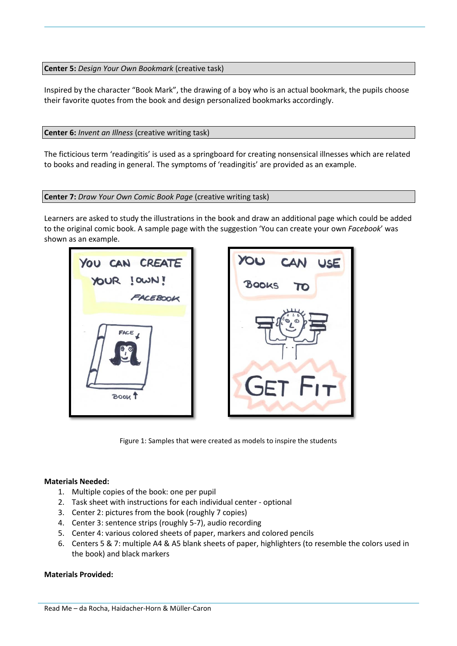**Center 5:** *Design Your Own Bookmark* (creative task)

Inspired by the character "Book Mark", the drawing of a boy who is an actual bookmark, the pupils choose their favorite quotes from the book and design personalized bookmarks accordingly.

**Center 6:** *Invent an Illness* (creative writing task)

The ficticious term 'readingitis' is used as a springboard for creating nonsensical illnesses which are related to books and reading in general. The symptoms of 'readingitis' are provided as an example.

#### **Center 7:** *Draw Your Own Comic Book Page* (creative writing task)

Learners are asked to study the illustrations in the book and draw an additional page which could be added to the original comic book. A sample page with the suggestion 'You can create your own *Facebook*' was shown as an example.



Figure 1: Samples that were created as models to inspire the students

#### **Materials Needed:**

- 1. Multiple copies of the book: one per pupil
- 2. Task sheet with instructions for each individual center optional
- 3. Center 2: pictures from the book (roughly 7 copies)
- 4. Center 3: sentence strips (roughly 5-7), audio recording
- 5. Center 4: various colored sheets of paper, markers and colored pencils
- 6. Centers 5 & 7: multiple A4 & A5 blank sheets of paper, highlighters (to resemble the colors used in the book) and black markers

#### **Materials Provided:**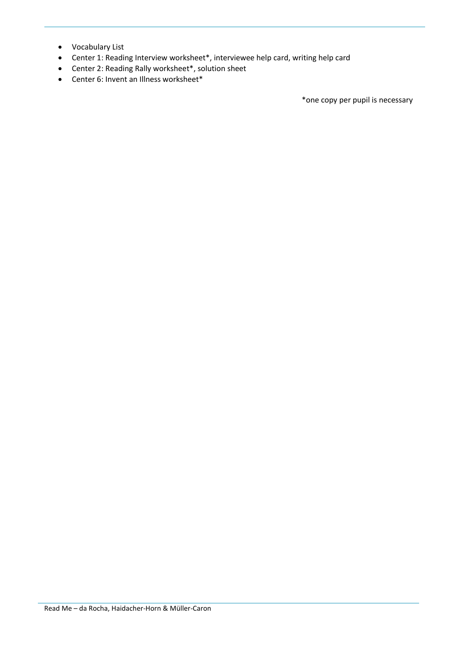- Vocabulary List
- Center 1: Reading Interview worksheet\*, interviewee help card, writing help card
- Center 2: Reading Rally worksheet\*, solution sheet
- Center 6: Invent an Illness worksheet\*

\*one copy per pupil is necessary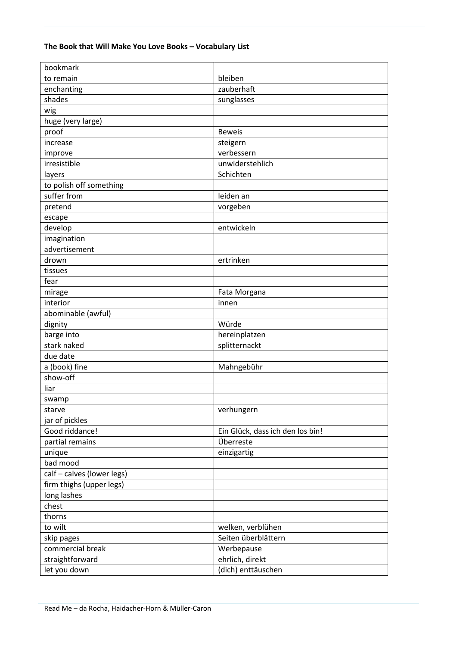# **The Book that Will Make You Love Books – Vocabulary List**

| bookmark                   |                                  |  |
|----------------------------|----------------------------------|--|
| to remain                  | bleiben                          |  |
| enchanting                 | zauberhaft                       |  |
| shades                     | sunglasses                       |  |
| wig                        |                                  |  |
| huge (very large)          |                                  |  |
| proof                      | <b>Beweis</b>                    |  |
| increase                   | steigern                         |  |
| improve                    | verbessern                       |  |
| irresistible               | unwiderstehlich                  |  |
| layers                     | Schichten                        |  |
| to polish off something    |                                  |  |
| suffer from                | leiden an                        |  |
| pretend                    | vorgeben                         |  |
| escape                     |                                  |  |
| develop                    | entwickeln                       |  |
| imagination                |                                  |  |
| advertisement              |                                  |  |
| drown                      | ertrinken                        |  |
| tissues                    |                                  |  |
| fear                       |                                  |  |
| mirage                     | Fata Morgana                     |  |
| interior                   | innen                            |  |
| abominable (awful)         |                                  |  |
| dignity                    | Würde                            |  |
| barge into                 | hereinplatzen                    |  |
| stark naked                | splitternackt                    |  |
| due date                   |                                  |  |
| a (book) fine              | Mahngebühr                       |  |
| show-off                   |                                  |  |
| liar                       |                                  |  |
|                            |                                  |  |
| swamp                      | verhungern                       |  |
| starve                     |                                  |  |
| jar of pickles             |                                  |  |
| Good riddance!             | Ein Glück, dass ich den los bin! |  |
| partial remains            | Überreste                        |  |
| unique                     | einzigartig                      |  |
| bad mood                   |                                  |  |
| calf - calves (lower legs) |                                  |  |
| firm thighs (upper legs)   |                                  |  |
| long lashes                |                                  |  |
| chest                      |                                  |  |
| thorns                     |                                  |  |
| to wilt                    | welken, verblühen                |  |
| skip pages                 | Seiten überblättern              |  |
| commercial break           | Werbepause                       |  |
| straightforward            | ehrlich, direkt                  |  |
| let you down               | (dich) enttäuschen               |  |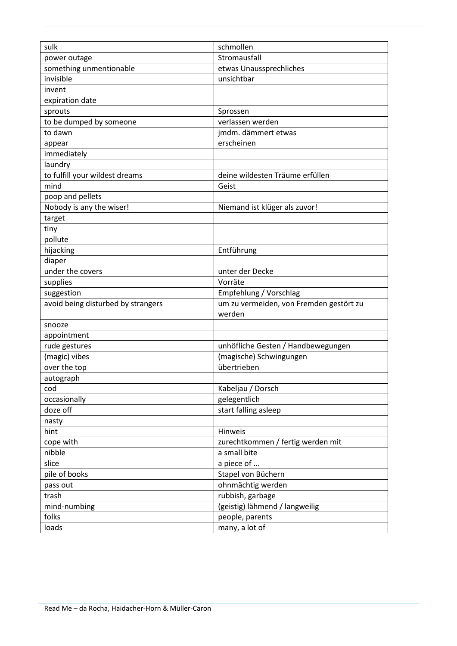| sulk                               | schmollen                               |  |
|------------------------------------|-----------------------------------------|--|
| power outage                       | Stromausfall                            |  |
| something unmentionable            | etwas Unaussprechliches                 |  |
| invisible                          | unsichtbar                              |  |
| invent                             |                                         |  |
| expiration date                    |                                         |  |
| sprouts                            | Sprossen                                |  |
| to be dumped by someone            | verlassen werden                        |  |
| to dawn                            | jmdm. dämmert etwas                     |  |
| appear                             | erscheinen                              |  |
| immediately                        |                                         |  |
| laundry                            |                                         |  |
| to fulfill your wildest dreams     | deine wildesten Träume erfüllen         |  |
| mind                               | Geist                                   |  |
| poop and pellets                   |                                         |  |
| Nobody is any the wiser!           | Niemand ist klüger als zuvor!           |  |
| target                             |                                         |  |
| tiny                               |                                         |  |
| pollute                            |                                         |  |
| hijacking                          | Entführung                              |  |
| diaper                             |                                         |  |
| under the covers                   | unter der Decke                         |  |
| supplies                           | Vorräte                                 |  |
| suggestion                         | Empfehlung / Vorschlag                  |  |
| avoid being disturbed by strangers | um zu vermeiden, von Fremden gestört zu |  |
|                                    | werden                                  |  |
| snooze                             |                                         |  |
| appointment                        |                                         |  |
| rude gestures                      | unhöfliche Gesten / Handbewegungen      |  |
| (magic) vibes                      | (magische) Schwingungen                 |  |
| over the top                       | übertrieben                             |  |
| autograph                          |                                         |  |
| cod                                | Kabeljau / Dorsch                       |  |
| occasionally                       | gelegentlich                            |  |
| doze off                           | start falling asleep                    |  |
| nasty                              |                                         |  |
| hint                               | Hinweis                                 |  |
| cope with                          | zurechtkommen / fertig werden mit       |  |
| nibble                             | a small bite                            |  |
| slice                              | a piece of                              |  |
| pile of books                      | Stapel von Büchern                      |  |
| pass out                           | ohnmächtig werden                       |  |
| trash                              | rubbish, garbage                        |  |
| mind-numbing                       | (geistig) lähmend / langweilig          |  |
| folks                              | people, parents                         |  |
| loads                              | many, a lot of                          |  |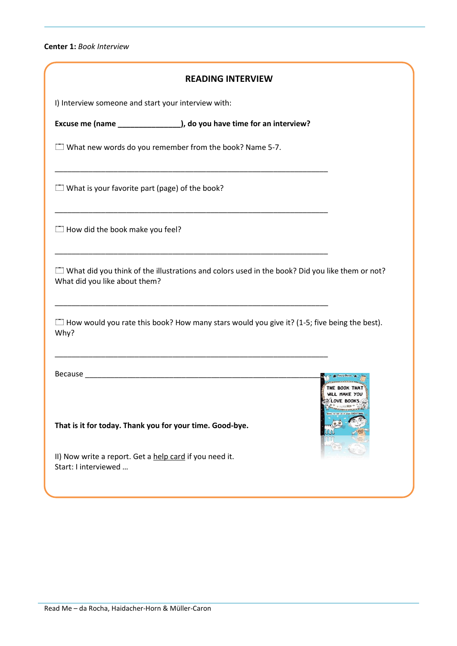**Center 1:** *Book Interview*

| <b>READING INTERVIEW</b>                                                                                                               |            |
|----------------------------------------------------------------------------------------------------------------------------------------|------------|
| I) Interview someone and start your interview with:                                                                                    |            |
| Excuse me (name ________________), do you have time for an interview?                                                                  |            |
| $\Box$ What new words do you remember from the book? Name 5-7.                                                                         |            |
| $\Box$ What is your favorite part (page) of the book?                                                                                  |            |
| $\Box$ How did the book make you feel?                                                                                                 |            |
| $\Box$ What did you think of the illustrations and colors used in the book? Did you like them or not?<br>What did you like about them? |            |
| $\Box$ How would you rate this book? How many stars would you give it? (1-5; five being the best).<br>Why?                             |            |
|                                                                                                                                        | LOVE BOOKS |
| That is it for today. Thank you for your time. Good-bye.                                                                               |            |
| II) Now write a report. Get a help card if you need it.<br>Start: I interviewed                                                        |            |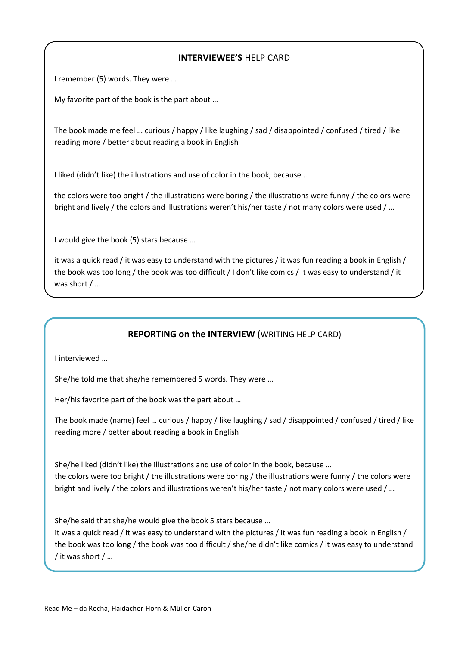# **INTERVIEWEE'S** HELP CARD

I remember (5) words. They were …

My favorite part of the book is the part about …

The book made me feel … curious / happy / like laughing / sad / disappointed / confused / tired / like reading more / better about reading a book in English

I liked (didn't like) the illustrations and use of color in the book, because …

the colors were too bright / the illustrations were boring / the illustrations were funny / the colors were bright and lively / the colors and illustrations weren't his/her taste / not many colors were used / …

I would give the book (5) stars because …

it was a quick read / it was easy to understand with the pictures / it was fun reading a book in English / the book was too long / the book was too difficult / I don't like comics / it was easy to understand / it was short / …

# **REPORTING on the INTERVIEW** (WRITING HELP CARD)

I interviewed …

She/he told me that she/he remembered 5 words. They were …

Her/his favorite part of the book was the part about …

The book made (name) feel … curious / happy / like laughing / sad / disappointed / confused / tired / like reading more / better about reading a book in English

She/he liked (didn't like) the illustrations and use of color in the book, because … the colors were too bright / the illustrations were boring / the illustrations were funny / the colors were bright and lively / the colors and illustrations weren't his/her taste / not many colors were used / …

She/he said that she/he would give the book 5 stars because …

it was a quick read / it was easy to understand with the pictures / it was fun reading a book in English / the book was too long / the book was too difficult / she/he didn't like comics / it was easy to understand / it was short / …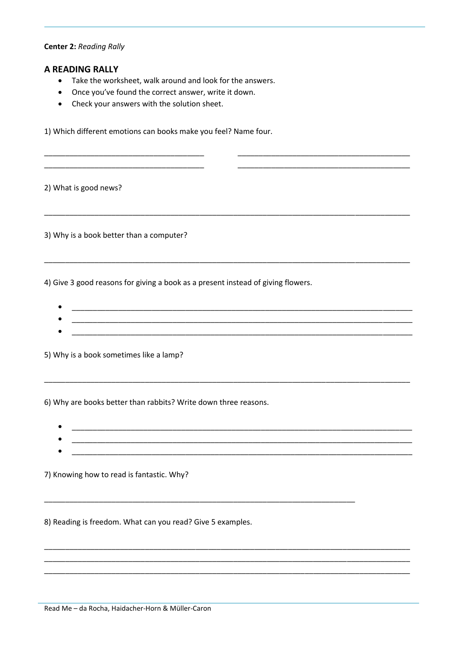#### **Center 2: Reading Rally**

#### **A READING RALLY**

- Take the worksheet, walk around and look for the answers.
- Once you've found the correct answer, write it down.
- Check your answers with the solution sheet.

1) Which different emotions can books make you feel? Name four.

2) What is good news?

3) Why is a book better than a computer?

4) Give 3 good reasons for giving a book as a present instead of giving flowers.

- 
- 

5) Why is a book sometimes like a lamp?

6) Why are books better than rabbits? Write down three reasons.

- 
- 

7) Knowing how to read is fantastic. Why?

8) Reading is freedom. What can you read? Give 5 examples.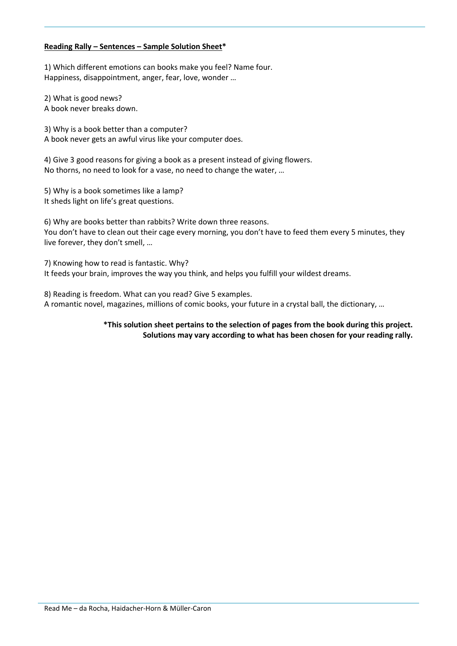## **Reading Rally – Sentences – Sample Solution Sheet\***

1) Which different emotions can books make you feel? Name four. Happiness, disappointment, anger, fear, love, wonder …

2) What is good news? A book never breaks down.

3) Why is a book better than a computer? A book never gets an awful virus like your computer does.

4) Give 3 good reasons for giving a book as a present instead of giving flowers. No thorns, no need to look for a vase, no need to change the water, …

5) Why is a book sometimes like a lamp? It sheds light on life's great questions.

6) Why are books better than rabbits? Write down three reasons. You don't have to clean out their cage every morning, you don't have to feed them every 5 minutes, they live forever, they don't smell, …

7) Knowing how to read is fantastic. Why? It feeds your brain, improves the way you think, and helps you fulfill your wildest dreams.

8) Reading is freedom. What can you read? Give 5 examples. A romantic novel, magazines, millions of comic books, your future in a crystal ball, the dictionary, …

> **\*This solution sheet pertains to the selection of pages from the book during this project. Solutions may vary according to what has been chosen for your reading rally.**